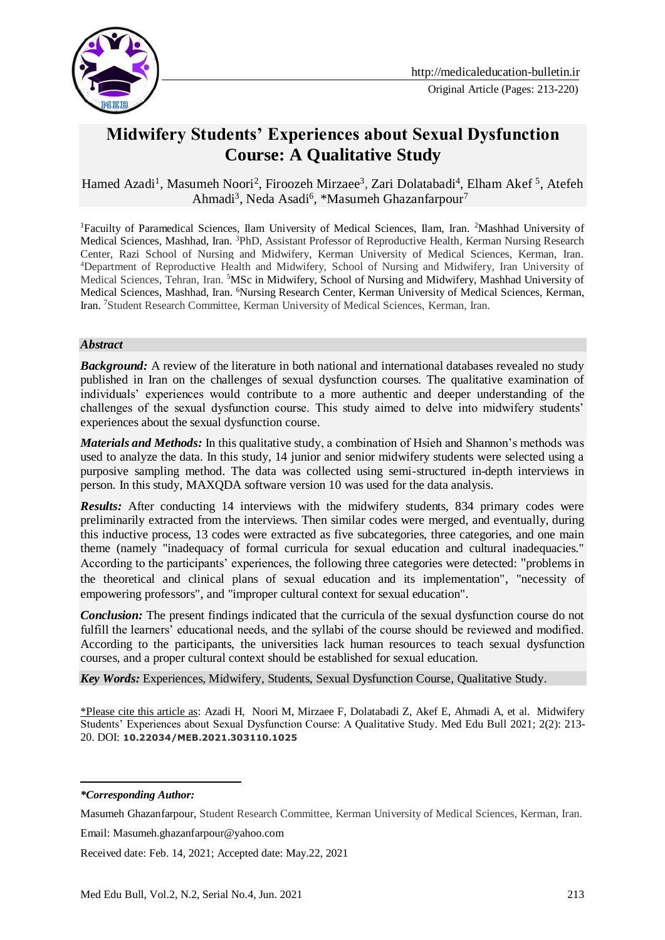

# **Midwifery Students' Experiences about Sexual Dysfunction Course: A Qualitative Study**

Hamed Azadi<sup>1</sup>, [Masumeh Noori](https://www.medicaleducation-bulletin.ir/?_action=article&au=947288&_au=Masumeh++Noori)<sup>2</sup>, Firoozeh Mirzaee<sup>3</sup>, Zari Dolatabadi<sup>4</sup>, Elham Akef<sup>5</sup>, Atefeh Ahmadi<sup>3</sup>, Neda Asadi<sup>6</sup>, \*Masumeh Ghazanfarpour<sup>7</sup>

<sup>1</sup>Facuilty of Paramedical Sciences, Ilam University of Medical Sciences, Ilam, Iran. <sup>2</sup>Mashhad University of Medical Sciences, Mashhad, Iran. <sup>3</sup>PhD, Assistant Professor of Reproductive Health, Kerman Nursing Research Center, Razi School of Nursing and Midwifery, Kerman University of Medical Sciences, Kerman, Iran. <sup>4</sup>Department of Reproductive Health and Midwifery, School of Nursing and Midwifery, Iran University of Medical Sciences, Tehran, Iran. <sup>5</sup>MSc in Midwifery, School of Nursing and Midwifery, Mashhad University of Medical Sciences, Mashhad, Iran. <sup>6</sup>Nursing Research Center, Kerman University of Medical Sciences, Kerman, Iran. <sup>7</sup>Student Research Committee, Kerman University of Medical Sciences, Kerman, Iran.

#### *Abstract*

*Background:* A review of the literature in both national and international databases revealed no study published in Iran on the challenges of sexual dysfunction courses. The qualitative examination of individuals' experiences would contribute to a more authentic and deeper understanding of the challenges of the sexual dysfunction course. This study aimed to delve into midwifery students' experiences about the sexual dysfunction course.

*Materials and Methods:* In this qualitative study, a combination of Hsieh and Shannon's methods was used to analyze the data. In this study, 14 junior and senior midwifery students were selected using a purposive sampling method. The data was collected using semi-structured in-depth interviews in person. In this study, MAXQDA software version 10 was used for the data analysis.

**Results:** After conducting 14 interviews with the midwifery students, 834 primary codes were preliminarily extracted from the interviews. Then similar codes were merged, and eventually, during this inductive process, 13 codes were extracted as five subcategories, three categories, and one main theme (namely "inadequacy of formal curricula for sexual education and cultural inadequacies." According to the participants' experiences, the following three categories were detected: "problems in the theoretical and clinical plans of sexual education and its implementation", "necessity of empowering professors", and "improper cultural context for sexual education".

*Conclusion:* The present findings indicated that the curricula of the sexual dysfunction course do not fulfill the learners' educational needs, and the syllabi of the course should be reviewed and modified. According to the participants, the universities lack human resources to teach sexual dysfunction courses, and a proper cultural context should be established for sexual education.

*Key Words:* Experiences, Midwifery, Students, Sexual Dysfunction Course, Qualitative Study.

\*Please cite this article as: Azadi H, [Noori](https://www.medicaleducation-bulletin.ir/?_action=article&au=947288&_au=Masumeh++Noori) M, Mirzaee F, Dolatabadi Z, Akef E, Ahmadi A, et al. Midwifery Students' Experiences about Sexual Dysfunction Course: A Qualitative Study. Med Edu Bull 2021; 2(2): 213- 20. DOI: **10.22034/MEB.2021.303110.1025**

-

Received date: Feb. 14, 2021; Accepted date: May.22, 2021

*<sup>\*</sup>Corresponding Author:*

Masumeh Ghazanfarpour, Student Research Committee, Kerman University of Medical Sciences, Kerman, Iran.

Email: Masumeh.ghazanfarpour@yahoo.com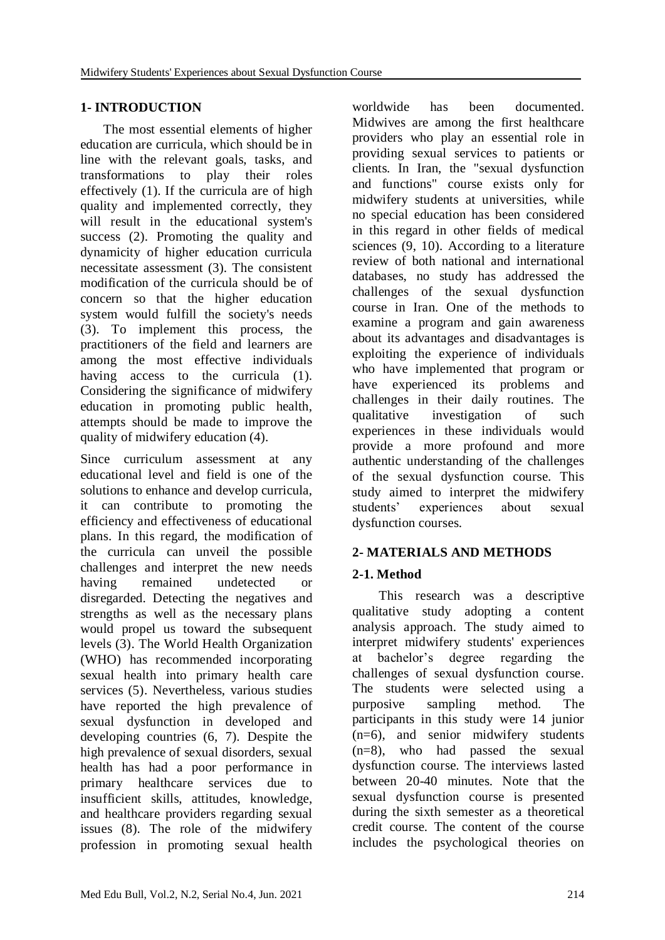## **1- INTRODUCTION**

 The most essential elements of higher education are curricula, which should be in line with the relevant goals, tasks, and transformations to play their roles effectively (1). If the curricula are of high quality and implemented correctly, they will result in the educational system's success (2). Promoting the quality and dynamicity of higher education curricula necessitate assessment (3). The consistent modification of the curricula should be of concern so that the higher education system would fulfill the society's needs (3). To implement this process, the practitioners of the field and learners are among the most effective individuals having access to the curricula (1). Considering the significance of midwifery education in promoting public health, attempts should be made to improve the quality of midwifery education (4).

Since curriculum assessment at any educational level and field is one of the solutions to enhance and develop curricula, it can contribute to promoting the efficiency and effectiveness of educational plans. In this regard, the modification of the curricula can unveil the possible challenges and interpret the new needs having remained undetected or disregarded. Detecting the negatives and strengths as well as the necessary plans would propel us toward the subsequent levels (3). The World Health Organization (WHO) has recommended incorporating sexual health into primary health care services (5). Nevertheless, various studies have reported the high prevalence of sexual dysfunction in developed and developing countries (6, 7). Despite the high prevalence of sexual disorders, sexual health has had a poor performance in primary healthcare services due to insufficient skills, attitudes, knowledge, and healthcare providers regarding sexual issues (8). The role of the midwifery profession in promoting sexual health

worldwide has been documented. Midwives are among the first healthcare providers who play an essential role in providing sexual services to patients or clients. In Iran, the "sexual dysfunction and functions" course exists only for midwifery students at universities, while no special education has been considered in this regard in other fields of medical sciences (9, 10). According to a literature review of both national and international databases, no study has addressed the challenges of the sexual dysfunction course in Iran. One of the methods to examine a program and gain awareness about its advantages and disadvantages is exploiting the experience of individuals who have implemented that program or have experienced its problems and challenges in their daily routines. The qualitative investigation of such experiences in these individuals would provide a more profound and more authentic understanding of the challenges of the sexual dysfunction course. This study aimed to interpret the midwifery students' experiences about sexual dysfunction courses.

# **2- MATERIALS AND METHODS**

# **2-1. Method**

 This research was a descriptive qualitative study adopting a content analysis approach. The study aimed to interpret midwifery students' experiences at bachelor's degree regarding the challenges of sexual dysfunction course. The students were selected using a purposive sampling method. The participants in this study were 14 junior (n=6), and senior midwifery students (n=8), who had passed the sexual dysfunction course. The interviews lasted between 20-40 minutes. Note that the sexual dysfunction course is presented during the sixth semester as a theoretical credit course. The content of the course includes the psychological theories on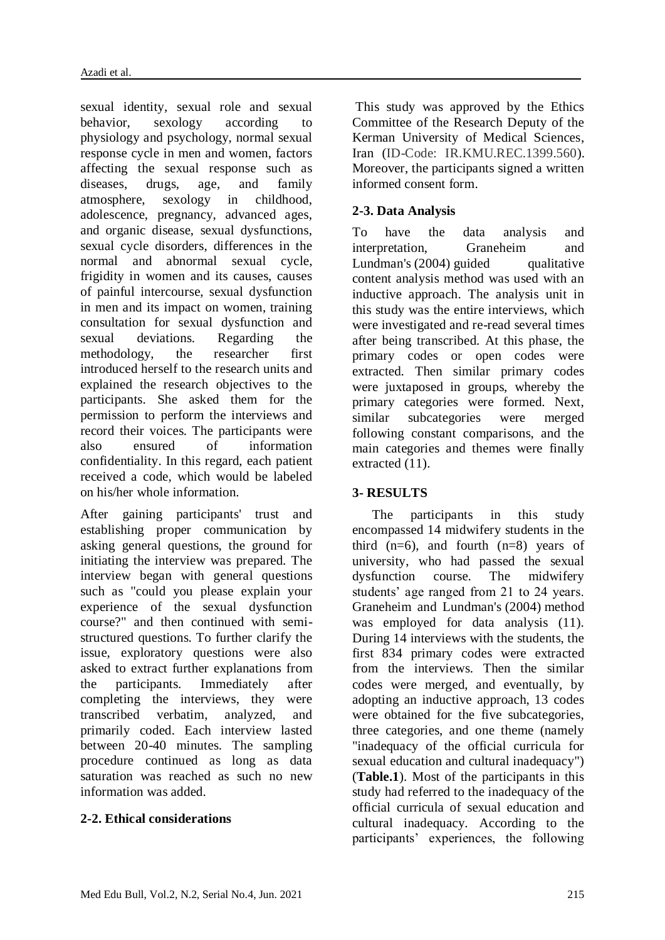sexual identity, sexual role and sexual behavior, sexology according to physiology and psychology, normal sexual response cycle in men and women, factors affecting the sexual response such as diseases, drugs, age, and family atmosphere, sexology in childhood, adolescence, pregnancy, advanced ages, and organic disease, sexual dysfunctions, sexual cycle disorders, differences in the normal and abnormal sexual cycle, frigidity in women and its causes, causes of painful intercourse, sexual dysfunction in men and its impact on women, training consultation for sexual dysfunction and sexual deviations. Regarding the methodology, the researcher first introduced herself to the research units and explained the research objectives to the participants. She asked them for the permission to perform the interviews and record their voices. The participants were also ensured of information confidentiality. In this regard, each patient received a code, which would be labeled on his/her whole information.

After gaining participants' trust and establishing proper communication by asking general questions, the ground for initiating the interview was prepared. The interview began with general questions such as "could you please explain your experience of the sexual dysfunction course?" and then continued with semistructured questions. To further clarify the issue, exploratory questions were also asked to extract further explanations from the participants. Immediately after completing the interviews, they were transcribed verbatim, analyzed, and primarily coded. Each interview lasted between 20-40 minutes. The sampling procedure continued as long as data saturation was reached as such no new information was added.

#### **2-2. Ethical considerations**

This study was approved by the Ethics Committee of the Research Deputy of the Kerman University of Medical Sciences, Iran (ID-Code: IR.KMU.REC.1399.560). Moreover, the participants signed a written informed consent form.

#### **2-3. Data Analysis**

To have the data analysis and interpretation, Graneheim and Lundman's  $(2004)$  guided qualitative content analysis method was used with an inductive approach. The analysis unit in this study was the entire interviews, which were investigated and re-read several times after being transcribed. At this phase, the primary codes or open codes were extracted. Then similar primary codes were juxtaposed in groups, whereby the primary categories were formed. Next, similar subcategories were merged following constant comparisons, and the main categories and themes were finally extracted (11).

#### **3- RESULTS**

 The participants in this study encompassed 14 midwifery students in the third  $(n=6)$ , and fourth  $(n=8)$  years of university, who had passed the sexual dysfunction course. The midwifery students' age ranged from 21 to 24 years. Graneheim and Lundman's (2004) method was employed for data analysis  $(11)$ . During 14 interviews with the students, the first 834 primary codes were extracted from the interviews. Then the similar codes were merged, and eventually, by adopting an inductive approach, 13 codes were obtained for the five subcategories, three categories, and one theme (namely "inadequacy of the official curricula for sexual education and cultural inadequacy") (**Table.1**). Most of the participants in this study had referred to the inadequacy of the official curricula of sexual education and cultural inadequacy. According to the participants' experiences, the following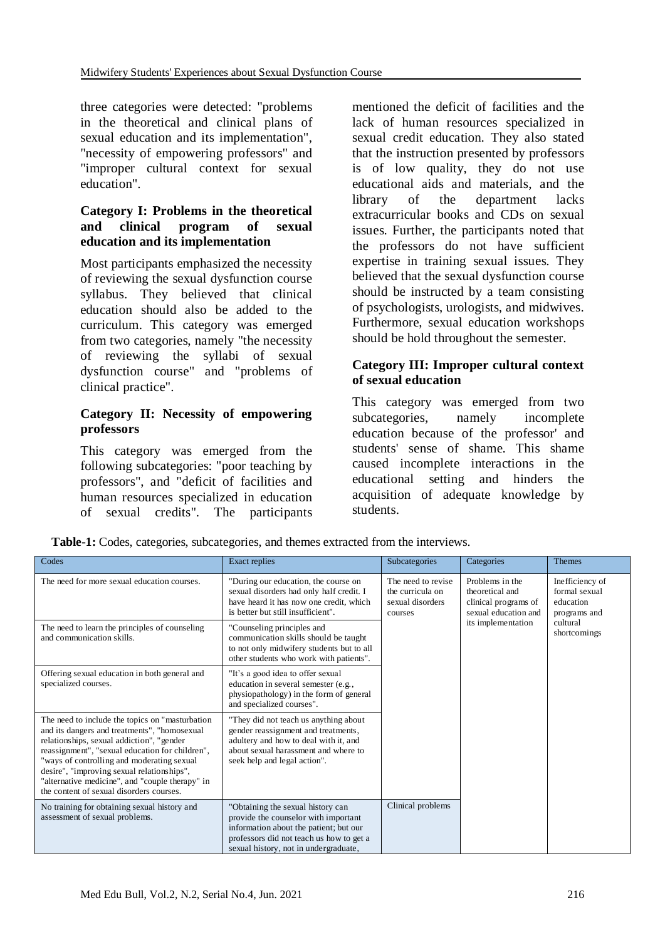three categories were detected: "problems in the theoretical and clinical plans of sexual education and its implementation", "necessity of empowering professors" and "improper cultural context for sexual education".

#### **Category I: Problems in the theoretical and clinical program of sexual education and its implementation**

Most participants emphasized the necessity of reviewing the sexual dysfunction course syllabus. They believed that clinical education should also be added to the curriculum. This category was emerged from two categories, namely "the necessity of reviewing the syllabi of sexual dysfunction course" and "problems of clinical practice".

#### **Category II: Necessity of empowering professors**

This category was emerged from the following subcategories: "poor teaching by professors", and "deficit of facilities and human resources specialized in education of sexual credits". The participants mentioned the deficit of facilities and the lack of human resources specialized in sexual credit education. They also stated that the instruction presented by professors is of low quality, they do not use educational aids and materials, and the library of the department lacks extracurricular books and CDs on sexual issues. Further, the participants noted that the professors do not have sufficient expertise in training sexual issues. They believed that the sexual dysfunction course should be instructed by a team consisting of psychologists, urologists, and midwives. Furthermore, sexual education workshops should be hold throughout the semester.

### **Category III: Improper cultural context of sexual education**

This category was emerged from two subcategories, namely incomplete education because of the professor' and students' sense of shame. This shame caused incomplete interactions in the educational setting and hinders the acquisition of adequate knowledge by students.

| Codes                                                                                                                                                                                                                                                                                                                                                                                       | <b>Exact replies</b>                                                                                                                                                                                     | Subcategories                                                         | Categories                                                                         | Themes                                                        |
|---------------------------------------------------------------------------------------------------------------------------------------------------------------------------------------------------------------------------------------------------------------------------------------------------------------------------------------------------------------------------------------------|----------------------------------------------------------------------------------------------------------------------------------------------------------------------------------------------------------|-----------------------------------------------------------------------|------------------------------------------------------------------------------------|---------------------------------------------------------------|
| The need for more sexual education courses.                                                                                                                                                                                                                                                                                                                                                 | "During our education, the course on<br>sexual disorders had only half credit. I<br>have heard it has now one credit, which<br>is better but still insufficient".                                        | The need to revise<br>the curricula on<br>sexual disorders<br>courses | Problems in the<br>theoretical and<br>clinical programs of<br>sexual education and | Inefficiency of<br>formal sexual<br>education<br>programs and |
| The need to learn the principles of counseling<br>and communication skills.                                                                                                                                                                                                                                                                                                                 | "Counseling principles and<br>communication skills should be taught<br>to not only midwifery students but to all<br>other students who work with patients".                                              |                                                                       | its implementation                                                                 | cultural<br>shortcomings                                      |
| Offering sexual education in both general and<br>specialized courses.                                                                                                                                                                                                                                                                                                                       | "It's a good idea to offer sexual<br>education in several semester (e.g.,<br>physiopathology) in the form of general<br>and specialized courses".                                                        |                                                                       |                                                                                    |                                                               |
| The need to include the topics on "masturbation"<br>and its dangers and treatments", "homosexual<br>relationships, sexual addiction", "gender<br>reassignment", "sexual education for children",<br>"ways of controlling and moderating sexual<br>desire", "improving sexual relationships",<br>"alternative medicine", and "couple therapy" in<br>the content of sexual disorders courses. | "They did not teach us anything about<br>gender reassignment and treatments,<br>adultery and how to deal with it, and<br>about sexual harassment and where to<br>seek help and legal action".            |                                                                       |                                                                                    |                                                               |
| No training for obtaining sexual history and<br>assessment of sexual problems.                                                                                                                                                                                                                                                                                                              | "Obtaining the sexual history can<br>provide the counselor with important<br>information about the patient; but our<br>professors did not teach us how to get a<br>sexual history, not in undergraduate, | Clinical problems                                                     |                                                                                    |                                                               |

**Table-1:** Codes, categories, subcategories, and themes extracted from the interviews.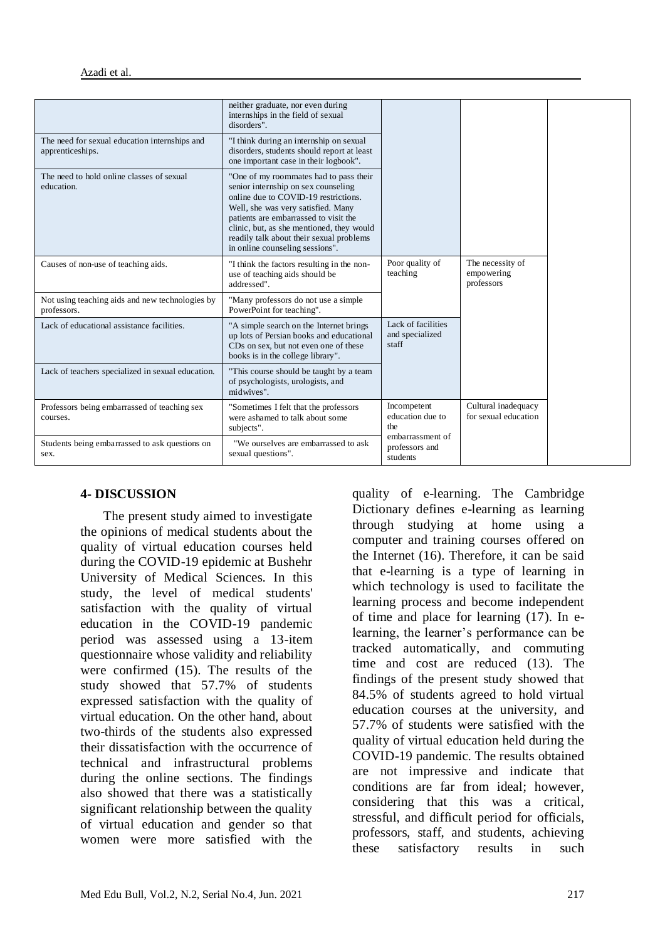|                                                                   | neither graduate, nor even during<br>internships in the field of sexual<br>disorders".                                                                                                                                                                                                                                           |                                                                                          |                                              |
|-------------------------------------------------------------------|----------------------------------------------------------------------------------------------------------------------------------------------------------------------------------------------------------------------------------------------------------------------------------------------------------------------------------|------------------------------------------------------------------------------------------|----------------------------------------------|
| The need for sexual education internships and<br>apprenticeships. | "I think during an internship on sexual<br>disorders, students should report at least<br>one important case in their logbook".                                                                                                                                                                                                   |                                                                                          |                                              |
| The need to hold online classes of sexual<br>education.           | "One of my roommates had to pass their<br>senior internship on sex counseling<br>online due to COVID-19 restrictions.<br>Well, she was very satisfied. Many<br>patients are embarrassed to visit the<br>clinic, but, as she mentioned, they would<br>readily talk about their sexual problems<br>in online counseling sessions". |                                                                                          |                                              |
| Causes of non-use of teaching aids.                               | "I think the factors resulting in the non-<br>use of teaching aids should be<br>addressed".                                                                                                                                                                                                                                      | Poor quality of<br>teaching                                                              | The necessity of<br>empowering<br>professors |
| Not using teaching aids and new technologies by<br>professors.    | "Many professors do not use a simple<br>PowerPoint for teaching".                                                                                                                                                                                                                                                                |                                                                                          |                                              |
| Lack of educational assistance facilities.                        | "A simple search on the Internet brings<br>up lots of Persian books and educational<br>CDs on sex, but not even one of these<br>books is in the college library".                                                                                                                                                                | Lack of facilities<br>and specialized<br>staff                                           |                                              |
| Lack of teachers specialized in sexual education.                 | "This course should be taught by a team<br>of psychologists, urologists, and<br>midwives".                                                                                                                                                                                                                                       |                                                                                          |                                              |
| Professors being embarrassed of teaching sex<br>courses.          | "Sometimes I felt that the professors<br>were ashamed to talk about some<br>subjects".                                                                                                                                                                                                                                           | Incompetent<br>education due to<br>the<br>embarrassment of<br>professors and<br>students | Cultural inadequacy<br>for sexual education  |
| Students being embarrassed to ask questions on<br>sex.            | "We ourselves are embarrassed to ask<br>sexual questions".                                                                                                                                                                                                                                                                       |                                                                                          |                                              |

#### **4- DISCUSSION**

 The present study aimed to investigate the opinions of medical students about the quality of virtual education courses held during the COVID-19 epidemic at Bushehr University of Medical Sciences. In this study, the level of medical students' satisfaction with the quality of virtual education in the COVID-19 pandemic period was assessed using a 13-item questionnaire whose validity and reliability were confirmed (15). The results of the study showed that 57.7% of students expressed satisfaction with the quality of virtual education. On the other hand, about two-thirds of the students also expressed their dissatisfaction with the occurrence of technical and infrastructural problems during the online sections. The findings also showed that there was a statistically significant relationship between the quality of virtual education and gender so that women were more satisfied with the

quality of e-learning. The Cambridge Dictionary defines e-learning as learning through studying at home using a computer and training courses offered on the Internet (16). Therefore, it can be said that e-learning is a type of learning in which technology is used to facilitate the learning process and become independent of time and place for learning (17). In elearning, the learner's performance can be tracked automatically, and commuting time and cost are reduced (13). The findings of the present study showed that 84.5% of students agreed to hold virtual education courses at the university, and 57.7% of students were satisfied with the quality of virtual education held during the COVID-19 pandemic. The results obtained are not impressive and indicate that conditions are far from ideal; however, considering that this was a critical, stressful, and difficult period for officials, professors, staff, and students, achieving these satisfactory results in such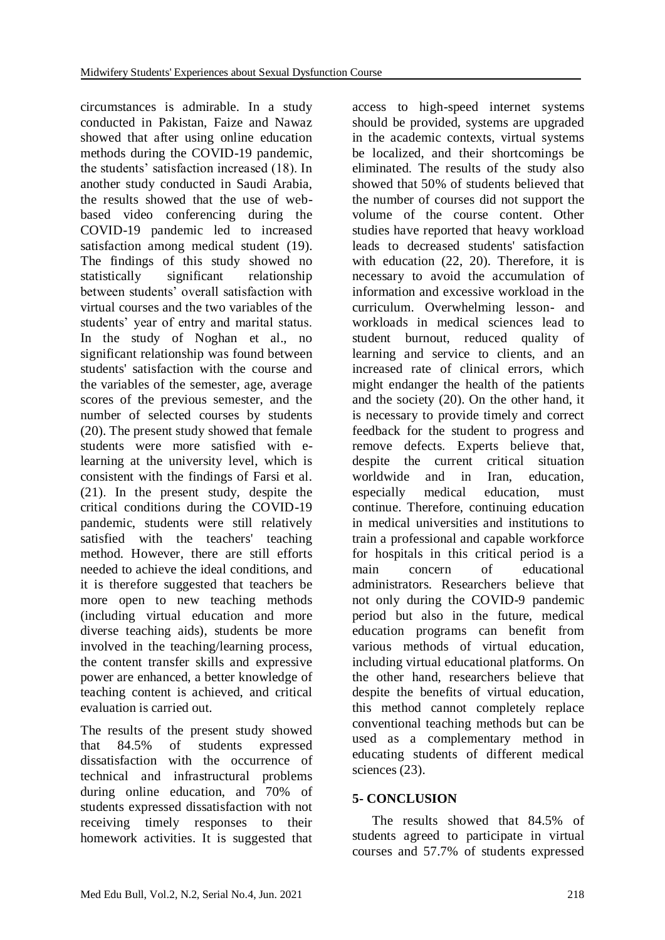circumstances is admirable. In a study conducted in Pakistan, Faize and Nawaz showed that after using online education methods during the COVID-19 pandemic, the students' satisfaction increased (18). In another study conducted in Saudi Arabia, the results showed that the use of webbased video conferencing during the COVID-19 pandemic led to increased satisfaction among medical student (19). The findings of this study showed no statistically significant relationship between students' overall satisfaction with virtual courses and the two variables of the students' year of entry and marital status. In the study of Noghan et al., no significant relationship was found between students' satisfaction with the course and the variables of the semester, age, average scores of the previous semester, and the number of selected courses by students (20). The present study showed that female students were more satisfied with elearning at the university level, which is consistent with the findings of Farsi et al. (21). In the present study, despite the critical conditions during the COVID-19 pandemic, students were still relatively satisfied with the teachers' teaching method. However, there are still efforts needed to achieve the ideal conditions, and it is therefore suggested that teachers be more open to new teaching methods (including virtual education and more diverse teaching aids), students be more involved in the teaching/learning process, the content transfer skills and expressive power are enhanced, a better knowledge of teaching content is achieved, and critical evaluation is carried out.

The results of the present study showed that 84.5% of students expressed dissatisfaction with the occurrence of technical and infrastructural problems during online education, and 70% of students expressed dissatisfaction with not receiving timely responses to their homework activities. It is suggested that

access to high-speed internet systems should be provided, systems are upgraded in the academic contexts, virtual systems be localized, and their shortcomings be eliminated. The results of the study also showed that 50% of students believed that the number of courses did not support the volume of the course content. Other studies have reported that heavy workload leads to decreased students' satisfaction with education (22, 20). Therefore, it is necessary to avoid the accumulation of information and excessive workload in the curriculum. Overwhelming lesson- and workloads in medical sciences lead to student burnout, reduced quality of learning and service to clients, and an increased rate of clinical errors, which might endanger the health of the patients and the society (20). On the other hand, it is necessary to provide timely and correct feedback for the student to progress and remove defects. Experts believe that, despite the current critical situation worldwide and in Iran, education, especially medical education, must continue. Therefore, continuing education in medical universities and institutions to train a professional and capable workforce for hospitals in this critical period is a<br>main concern of educational main concern of educational administrators. Researchers believe that not only during the COVID-9 pandemic period but also in the future, medical education programs can benefit from various methods of virtual education, including virtual educational platforms. On the other hand, researchers believe that despite the benefits of virtual education, this method cannot completely replace conventional teaching methods but can be used as a complementary method in educating students of different medical sciences (23).

## **5- CONCLUSION**

 The results showed that 84.5% of students agreed to participate in virtual courses and 57.7% of students expressed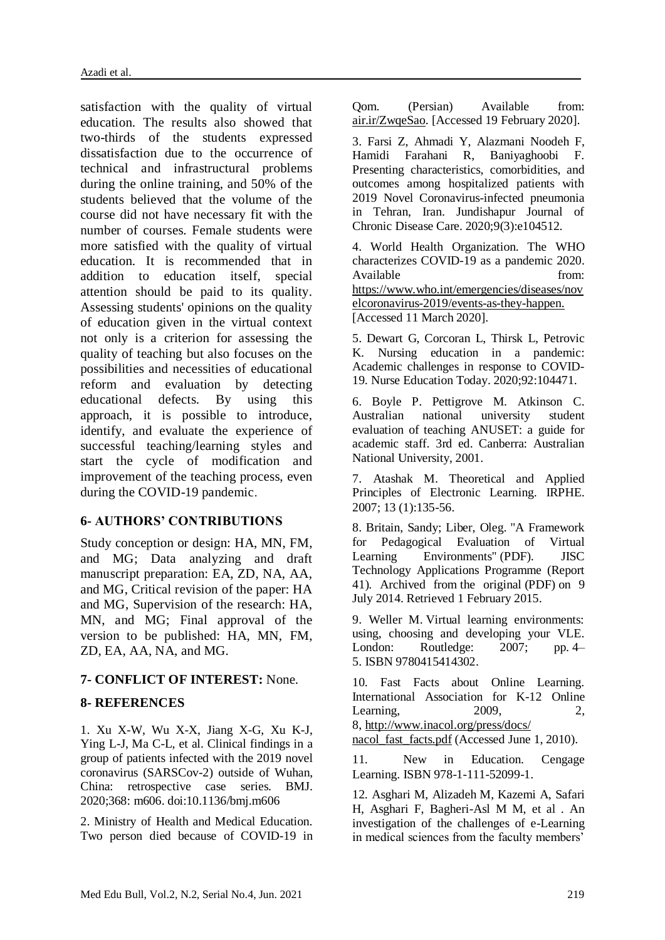satisfaction with the quality of virtual education. The results also showed that two-thirds of the students expressed dissatisfaction due to the occurrence of technical and infrastructural problems during the online training, and 50% of the students believed that the volume of the course did not have necessary fit with the number of courses. Female students were more satisfied with the quality of virtual education. It is recommended that in addition to education itself, special attention should be paid to its quality. Assessing students' opinions on the quality of education given in the virtual context not only is a criterion for assessing the quality of teaching but also focuses on the possibilities and necessities of educational reform and evaluation by detecting educational defects. By using this approach, it is possible to introduce, identify, and evaluate the experience of successful teaching/learning styles and start the cycle of modification and improvement of the teaching process, even during the COVID-19 pandemic.

#### **6- AUTHORS' CONTRIBUTIONS**

Study conception or design: HA, MN, FM, and MG; Data analyzing and draft manuscript preparation: EA, ZD, NA, AA, and MG, Critical revision of the paper: HA and MG, Supervision of the research: HA, MN, and MG; Final approval of the version to be published: HA, MN, FM, ZD, EA, AA, NA, and MG.

#### **7- CONFLICT OF INTEREST:** None.

#### **8- REFERENCES**

1. Xu X-W, Wu X-X, Jiang X-G, Xu K-J, Ying L-J, Ma C-L, et al. Clinical findings in a group of patients infected with the 2019 novel coronavirus (SARSCov-2) outside of Wuhan, China: retrospective case series. BMJ. 2020;368: m606. doi:10.1136/bmj.m606

2. Ministry of Health and Medical Education. Two person died because of COVID-19 in Qom. (Persian) Available from: air.ir/ZwqeSao. [Accessed 19 February 2020].

3. Farsi Z, Ahmadi Y, Alazmani Noodeh F, Hamidi Farahani R, Baniyaghoobi F. Presenting characteristics, comorbidities, and outcomes among hospitalized patients with 2019 Novel Coronavirus-infected pneumonia in Tehran, Iran. Jundishapur Journal of Chronic Disease Care. 2020;9(3):e104512.

4. World Health Organization. The WHO characterizes COVID-19 as a pandemic 2020. Available from: https://www.who.int/emergencies/diseases/nov elcoronavirus-2019/events-as-they-happen. [Accessed 11 March 2020].

5. Dewart G, Corcoran L, Thirsk L, Petrovic K. Nursing education in a pandemic: Academic challenges in response to COVID-19. Nurse Education Today. 2020;92:104471.

6. Boyle P. Pettigrove M. Atkinson C. Australian national university student evaluation of teaching ANUSET: a guide for academic staff. 3rd ed. Canberra: Australian National University, 2001.

7. Atashak M. Theoretical and Applied Principles of Electronic Learning. IRPHE. 2007; 13 (1):135-56.

8. Britain, Sandy; Liber, Oleg. ["A Framework](https://web.archive.org/web/20140709094115/http:/www.jisc.ac.uk/media/documents/programmes/jtap/jtap-041.pdf)  [for Pedagogical Evaluation of Virtual](https://web.archive.org/web/20140709094115/http:/www.jisc.ac.uk/media/documents/programmes/jtap/jtap-041.pdf)  [Learning Environments"](https://web.archive.org/web/20140709094115/http:/www.jisc.ac.uk/media/documents/programmes/jtap/jtap-041.pdf) (PDF). JISC Technology Applications Programme (Report 41). Archived from [the original](http://www.jisc.ac.uk/media/documents/programmes/jtap/jtap-041.pdf) (PDF) on 9 July 2014. Retrieved 1 February 2015.

9. Weller M. Virtual learning environments: using, choosing and developing your VLE. London: Routledge: 2007; pp. 4– 5. [ISBN](https://en.wikipedia.org/wiki/ISBN_(identifier)) [9780415414302.](https://en.wikipedia.org/wiki/Special:BookSources/9780415414302)

10. Fast Facts about Online Learning. International Association for K-12 Online Learning, 2009, 2, 8, http://www.inacol.org/press/docs/ nacol fast facts.pdf (Accessed June 1, 2010).

11. New in Education. Cengage Learning. [ISBN](https://fa.wikipedia.org/wiki/%D8%B4%D9%85%D8%A7%D8%B1%D9%87_%D8%A7%D8%B3%D8%AA%D8%A7%D9%86%D8%AF%D8%A7%D8%B1%D8%AF_%D8%A8%DB%8C%D9%86%E2%80%8C%D8%A7%D9%84%D9%85%D9%84%D9%84%DB%8C_%DA%A9%D8%AA%D8%A7%D8%A8) [978-1-111-52099-1.](https://fa.wikipedia.org/wiki/%D9%88%DB%8C%DA%98%D9%87:%D9%85%D9%86%D8%A7%D8%A8%D8%B9_%DA%A9%D8%AA%D8%A7%D8%A8/978-1-111-52099-1)

12. Asghari M, Alizadeh M, Kazemi A, Safari H, Asghari F, Bagheri-Asl M M, et al . An investigation of the challenges of e-Learning in medical sciences from the faculty members'